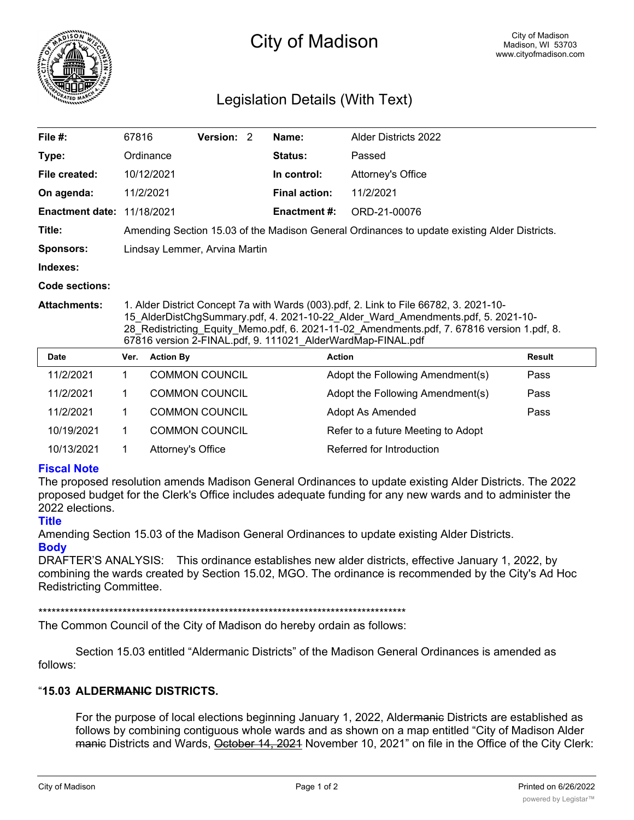

# City of Madison

## Legislation Details (With Text)

| File $#$ :                        | 67816                                                                                                                                                                                                                                                                                                                                  |                  | <b>Version:</b>       | $\mathcal{P}$ | Name:                | <b>Alder Districts 2022</b>      |               |  |
|-----------------------------------|----------------------------------------------------------------------------------------------------------------------------------------------------------------------------------------------------------------------------------------------------------------------------------------------------------------------------------------|------------------|-----------------------|---------------|----------------------|----------------------------------|---------------|--|
| Type:                             |                                                                                                                                                                                                                                                                                                                                        | Ordinance        |                       |               | <b>Status:</b>       | Passed                           |               |  |
| File created:                     |                                                                                                                                                                                                                                                                                                                                        | 10/12/2021       |                       |               | In control:          | Attorney's Office                |               |  |
| On agenda:                        |                                                                                                                                                                                                                                                                                                                                        | 11/2/2021        |                       |               | <b>Final action:</b> | 11/2/2021                        |               |  |
| <b>Enactment date: 11/18/2021</b> |                                                                                                                                                                                                                                                                                                                                        |                  |                       |               | <b>Enactment #:</b>  | ORD-21-00076                     |               |  |
| Title:                            | Amending Section 15.03 of the Madison General Ordinances to update existing Alder Districts.                                                                                                                                                                                                                                           |                  |                       |               |                      |                                  |               |  |
| <b>Sponsors:</b>                  | Lindsay Lemmer, Arvina Martin                                                                                                                                                                                                                                                                                                          |                  |                       |               |                      |                                  |               |  |
| Indexes:                          |                                                                                                                                                                                                                                                                                                                                        |                  |                       |               |                      |                                  |               |  |
| Code sections:                    |                                                                                                                                                                                                                                                                                                                                        |                  |                       |               |                      |                                  |               |  |
| <b>Attachments:</b>               | 1. Alder District Concept 7a with Wards (003).pdf, 2. Link to File 66782, 3. 2021-10-<br>15 AlderDistChgSummary.pdf, 4. 2021-10-22 Alder Ward Amendments.pdf, 5. 2021-10-<br>28 Redistricting Equity Memo.pdf, 6. 2021-11-02 Amendments.pdf, 7. 67816 version 1.pdf, 8.<br>67816 version 2-FINAL.pdf, 9. 111021_AlderWardMap-FINAL.pdf |                  |                       |               |                      |                                  |               |  |
| <b>Date</b>                       | Ver.                                                                                                                                                                                                                                                                                                                                   | <b>Action By</b> |                       |               |                      | <b>Action</b>                    | <b>Result</b> |  |
| 11/2/2021                         | 1.                                                                                                                                                                                                                                                                                                                                     |                  | <b>COMMON COUNCIL</b> |               |                      | Adopt the Following Amendment(s) | Pass          |  |
| 1.1010001                         |                                                                                                                                                                                                                                                                                                                                        |                  |                       |               |                      |                                  |               |  |

| 11/2/2021  | <b>COMMON COUNCIL</b> | Adopt the Following Amendment(s)   | Pass |
|------------|-----------------------|------------------------------------|------|
| 11/2/2021  | <b>COMMON COUNCIL</b> | Adopt the Following Amendment(s)   | Pass |
| 11/2/2021  | <b>COMMON COUNCIL</b> | Adopt As Amended                   | Pass |
| 10/19/2021 | <b>COMMON COUNCIL</b> | Refer to a future Meeting to Adopt |      |
| 10/13/2021 | Attorney's Office     | Referred for Introduction          |      |
|            |                       |                                    |      |

### **Fiscal Note**

The proposed resolution amends Madison General Ordinances to update existing Alder Districts. The 2022 proposed budget for the Clerk's Office includes adequate funding for any new wards and to administer the 2022 elections.

### **Title**

Amending Section 15.03 of the Madison General Ordinances to update existing Alder Districts. **Body**

DRAFTER'S ANALYSIS: This ordinance establishes new alder districts, effective January 1, 2022, by combining the wards created by Section 15.02, MGO. The ordinance is recommended by the City's Ad Hoc Redistricting Committee.

\*\*\*\*\*\*\*\*\*\*\*\*\*\*\*\*\*\*\*\*\*\*\*\*\*\*\*\*\*\*\*\*\*\*\*\*\*\*\*\*\*\*\*\*\*\*\*\*\*\*\*\*\*\*\*\*\*\*\*\*\*\*\*\*\*\*\*\*\*\*\*\*\*\*\*\*\*\*\*\*\*\*\*

The Common Council of the City of Madison do hereby ordain as follows:

Section 15.03 entitled "Aldermanic Districts" of the Madison General Ordinances is amended as follows:

### "**15.03 ALDERMANIC DISTRICTS.**

For the purpose of local elections beginning January 1, 2022, Aldermanic Districts are established as follows by combining contiguous whole wards and as shown on a map entitled "City of Madison Alder manic Districts and Wards, October 14, 2021 November 10, 2021" on file in the Office of the City Clerk: